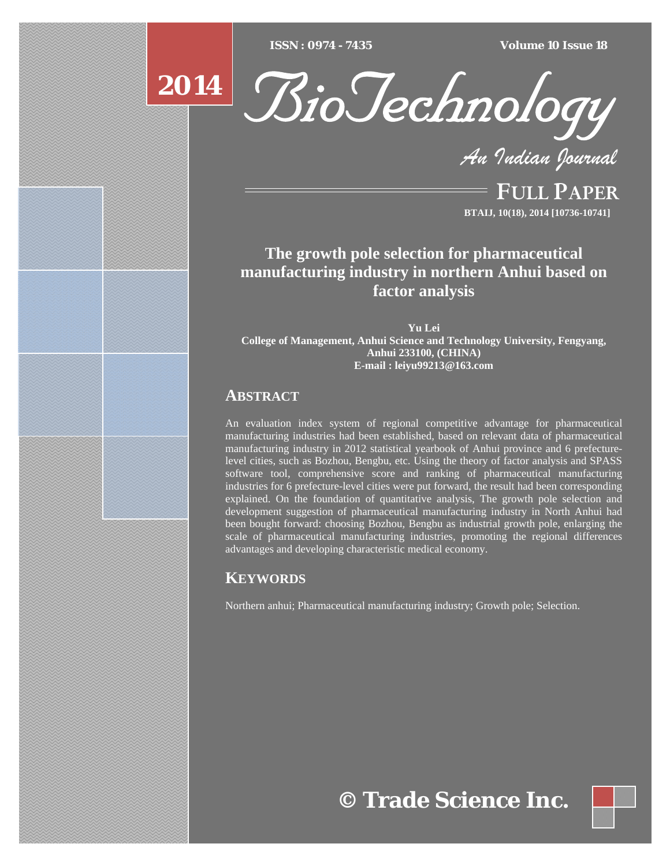$ISSN : 0974 - 7435$ 

*ISSN : 0974 - 7435 Volume 10 Issue 18*





*An Indian Journal*

FULL PAPER **BTAIJ, 10(18), 2014 [10736-10741]**

**The growth pole selection for pharmaceutical manufacturing industry in northern Anhui based on factor analysis** 

**Yu Lei College of Management, Anhui Science and Technology University, Fengyang, Anhui 233100, (CHINA) E-mail : leiyu99213@163.com**

# **ABSTRACT**

An evaluation index system of regional competitive advantage for pharmaceutical manufacturing industries had been established, based on relevant data of pharmaceutical manufacturing industry in 2012 statistical yearbook of Anhui province and 6 prefecturelevel cities, such as Bozhou, Bengbu, etc. Using the theory of factor analysis and SPASS software tool, comprehensive score and ranking of pharmaceutical manufacturing industries for 6 prefecture-level cities were put forward, the result had been corresponding explained. On the foundation of quantitative analysis, The growth pole selection and development suggestion of pharmaceutical manufacturing industry in North Anhui had been bought forward: choosing Bozhou, Bengbu as industrial growth pole, enlarging the scale of pharmaceutical manufacturing industries, promoting the regional differences advantages and developing characteristic medical economy.

# **KEYWORDS**

Northern anhui; Pharmaceutical manufacturing industry; Growth pole; Selection.

**© Trade Science Inc.**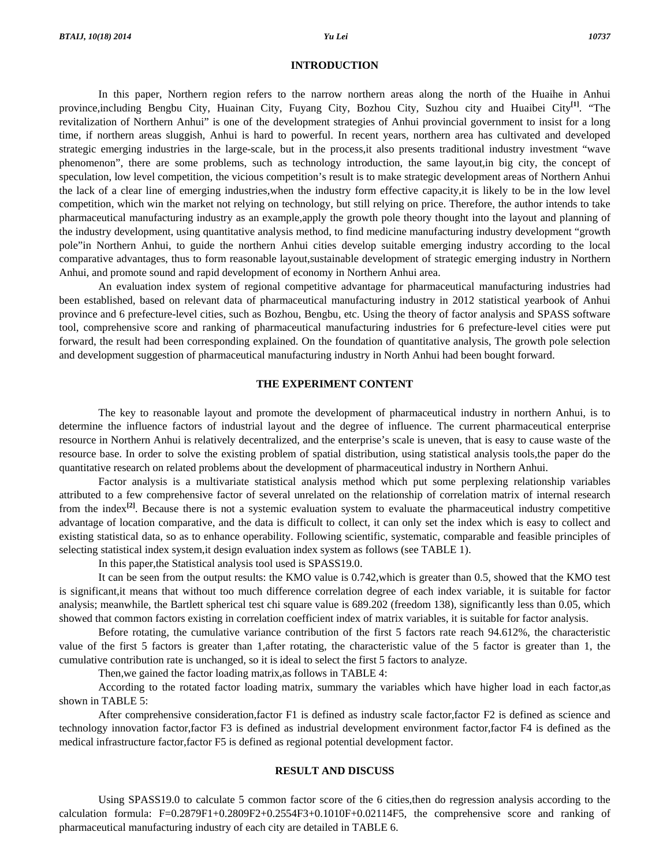#### **INTRODUCTION**

 In this paper, Northern region refers to the narrow northern areas along the north of the Huaihe in Anhui province,including Bengbu City, Huainan City, Fuyang City, Bozhou City, Suzhou city and Huaibei City**[1]**. "The revitalization of Northern Anhui" is one of the development strategies of Anhui provincial government to insist for a long time, if northern areas sluggish, Anhui is hard to powerful. In recent years, northern area has cultivated and developed strategic emerging industries in the large-scale, but in the process,it also presents traditional industry investment "wave phenomenon", there are some problems, such as technology introduction, the same layout,in big city, the concept of speculation, low level competition, the vicious competition's result is to make strategic development areas of Northern Anhui the lack of a clear line of emerging industries,when the industry form effective capacity,it is likely to be in the low level competition, which win the market not relying on technology, but still relying on price. Therefore, the author intends to take pharmaceutical manufacturing industry as an example,apply the growth pole theory thought into the layout and planning of the industry development, using quantitative analysis method, to find medicine manufacturing industry development "growth pole"in Northern Anhui, to guide the northern Anhui cities develop suitable emerging industry according to the local comparative advantages, thus to form reasonable layout,sustainable development of strategic emerging industry in Northern Anhui, and promote sound and rapid development of economy in Northern Anhui area.

 An evaluation index system of regional competitive advantage for pharmaceutical manufacturing industries had been established, based on relevant data of pharmaceutical manufacturing industry in 2012 statistical yearbook of Anhui province and 6 prefecture-level cities, such as Bozhou, Bengbu, etc. Using the theory of factor analysis and SPASS software tool, comprehensive score and ranking of pharmaceutical manufacturing industries for 6 prefecture-level cities were put forward, the result had been corresponding explained. On the foundation of quantitative analysis, The growth pole selection and development suggestion of pharmaceutical manufacturing industry in North Anhui had been bought forward.

## **THE EXPERIMENT CONTENT**

 The key to reasonable layout and promote the development of pharmaceutical industry in northern Anhui, is to determine the influence factors of industrial layout and the degree of influence. The current pharmaceutical enterprise resource in Northern Anhui is relatively decentralized, and the enterprise's scale is uneven, that is easy to cause waste of the resource base. In order to solve the existing problem of spatial distribution, using statistical analysis tools,the paper do the quantitative research on related problems about the development of pharmaceutical industry in Northern Anhui.

 Factor analysis is a multivariate statistical analysis method which put some perplexing relationship variables attributed to a few comprehensive factor of several unrelated on the relationship of correlation matrix of internal research from the index**[2]**. Because there is not a systemic evaluation system to evaluate the pharmaceutical industry competitive advantage of location comparative, and the data is difficult to collect, it can only set the index which is easy to collect and existing statistical data, so as to enhance operability. Following scientific, systematic, comparable and feasible principles of selecting statistical index system,it design evaluation index system as follows (see TABLE 1).

In this paper,the Statistical analysis tool used is SPASS19.0.

 It can be seen from the output results: the KMO value is 0.742,which is greater than 0.5, showed that the KMO test is significant,it means that without too much difference correlation degree of each index variable, it is suitable for factor analysis; meanwhile, the Bartlett spherical test chi square value is 689.202 (freedom 138), significantly less than 0.05, which showed that common factors existing in correlation coefficient index of matrix variables, it is suitable for factor analysis.

 Before rotating, the cumulative variance contribution of the first 5 factors rate reach 94.612%, the characteristic value of the first 5 factors is greater than 1,after rotating, the characteristic value of the 5 factor is greater than 1, the cumulative contribution rate is unchanged, so it is ideal to select the first 5 factors to analyze.

Then,we gained the factor loading matrix,as follows in TABLE 4:

 According to the rotated factor loading matrix, summary the variables which have higher load in each factor,as shown in TABLE 5:

 After comprehensive consideration,factor F1 is defined as industry scale factor,factor F2 is defined as science and technology innovation factor,factor F3 is defined as industrial development environment factor,factor F4 is defined as the medical infrastructure factor,factor F5 is defined as regional potential development factor.

## **RESULT AND DISCUSS**

 Using SPASS19.0 to calculate 5 common factor score of the 6 cities,then do regression analysis according to the calculation formula: F=0.2879F1+0.2809F2+0.2554F3+0.1010F+0.02114F5, the comprehensive score and ranking of pharmaceutical manufacturing industry of each city are detailed in TABLE 6.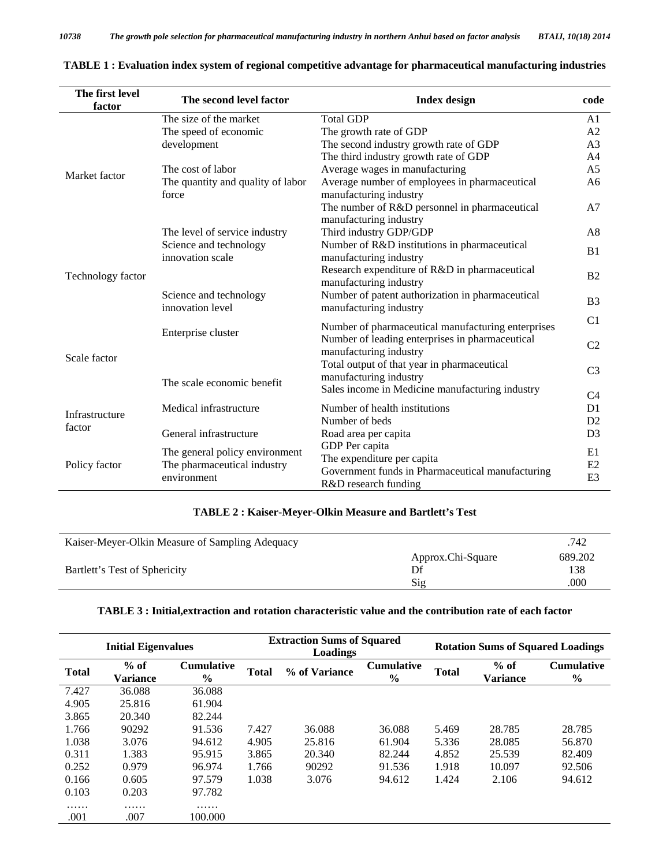| The first level<br>factor | The second level factor                                       | <b>Index design</b>                                                                              |                |  |  |  |
|---------------------------|---------------------------------------------------------------|--------------------------------------------------------------------------------------------------|----------------|--|--|--|
|                           | The size of the market                                        | <b>Total GDP</b>                                                                                 | A <sub>1</sub> |  |  |  |
|                           | The speed of economic                                         | The growth rate of GDP                                                                           | A2             |  |  |  |
|                           | development                                                   | The second industry growth rate of GDP                                                           | A <sub>3</sub> |  |  |  |
|                           |                                                               | The third industry growth rate of GDP                                                            | A4             |  |  |  |
| Market factor             | The cost of labor                                             | Average wages in manufacturing                                                                   | A <sub>5</sub> |  |  |  |
|                           | The quantity and quality of labor<br>force                    | Average number of employees in pharmaceutical<br>manufacturing industry                          | A6             |  |  |  |
|                           |                                                               | The number of R&D personnel in pharmaceutical<br>manufacturing industry                          | A <sub>7</sub> |  |  |  |
|                           | The level of service industry                                 | Third industry GDP/GDP                                                                           | A8             |  |  |  |
|                           | Science and technology<br>innovation scale                    | Number of R&D institutions in pharmaceutical<br>manufacturing industry                           | B <sub>1</sub> |  |  |  |
| Technology factor         |                                                               | Research expenditure of R&D in pharmaceutical<br>manufacturing industry                          | B <sub>2</sub> |  |  |  |
|                           | Science and technology<br>innovation level                    | Number of patent authorization in pharmaceutical<br>manufacturing industry                       | B <sub>3</sub> |  |  |  |
|                           | Enterprise cluster                                            | Number of pharmaceutical manufacturing enterprises                                               | C <sub>1</sub> |  |  |  |
| Scale factor              |                                                               | Number of leading enterprises in pharmaceutical<br>manufacturing industry                        | C <sub>2</sub> |  |  |  |
|                           | The scale economic benefit                                    | Total output of that year in pharmaceutical<br>manufacturing industry                            | C <sub>3</sub> |  |  |  |
|                           |                                                               | Sales income in Medicine manufacturing industry                                                  | C4             |  |  |  |
|                           | Medical infrastructure                                        | Number of health institutions                                                                    | D <sub>1</sub> |  |  |  |
| Infrastructure            |                                                               | Number of beds                                                                                   | D2             |  |  |  |
| factor                    | General infrastructure                                        | Road area per capita                                                                             | D <sub>3</sub> |  |  |  |
| Policy factor             | The general policy environment<br>The pharmaceutical industry | GDP Per capita<br>The expenditure per capita<br>Government funds in Pharmaceutical manufacturing | E1<br>E2       |  |  |  |
|                           | environment                                                   | R&D research funding                                                                             | E <sub>3</sub> |  |  |  |

|  |  | TABLE 1 : Evaluation index system of regional competitive advantage for pharmaceutical manufacturing industries |
|--|--|-----------------------------------------------------------------------------------------------------------------|
|  |  |                                                                                                                 |

## **TABLE 2 : Kaiser-Meyer-Olkin Measure and Bartlett's Test**

| Kaiser-Meyer-Olkin Measure of Sampling Adequacy | .742              |         |
|-------------------------------------------------|-------------------|---------|
| Bartlett's Test of Sphericity                   | Approx.Chi-Square | 689.202 |
|                                                 |                   | 138     |
|                                                 | Sig               | .000    |

## **TABLE 3 : Initial,extraction and rotation characteristic value and the contribution rate of each factor**

| <b>Initial Eigenvalues</b> |                    |                                    |              | <b>Extraction Sums of Squared</b><br>Loadings |                                    | <b>Rotation Sums of Squared Loadings</b> |                           |                                    |  |
|----------------------------|--------------------|------------------------------------|--------------|-----------------------------------------------|------------------------------------|------------------------------------------|---------------------------|------------------------------------|--|
| <b>Total</b>               | $%$ of<br>Variance | <b>Cumulative</b><br>$\frac{6}{9}$ | <b>Total</b> | % of Variance                                 | <b>Cumulative</b><br>$\frac{0}{0}$ | <b>Total</b>                             | $%$ of<br><b>Variance</b> | <b>Cumulative</b><br>$\frac{6}{9}$ |  |
| 7.427                      | 36.088             | 36.088                             |              |                                               |                                    |                                          |                           |                                    |  |
| 4.905                      | 25.816             | 61.904                             |              |                                               |                                    |                                          |                           |                                    |  |
| 3.865                      | 20.340             | 82.244                             |              |                                               |                                    |                                          |                           |                                    |  |
| 1.766                      | 90292              | 91.536                             | 7.427        | 36.088                                        | 36.088                             | 5.469                                    | 28.785                    | 28.785                             |  |
| 1.038                      | 3.076              | 94.612                             | 4.905        | 25.816                                        | 61.904                             | 5.336                                    | 28.085                    | 56.870                             |  |
| 0.311                      | 1.383              | 95.915                             | 3.865        | 20.340                                        | 82.244                             | 4.852                                    | 25.539                    | 82.409                             |  |
| 0.252                      | 0.979              | 96.974                             | 1.766        | 90292                                         | 91.536                             | 1.918                                    | 10.097                    | 92.506                             |  |
| 0.166                      | 0.605              | 97.579                             | 1.038        | 3.076                                         | 94.612                             | 1.424                                    | 2.106                     | 94.612                             |  |
| 0.103                      | 0.203              | 97.782                             |              |                                               |                                    |                                          |                           |                                    |  |
| .<br>.001                  | .<br>.007          | .<br>100.000                       |              |                                               |                                    |                                          |                           |                                    |  |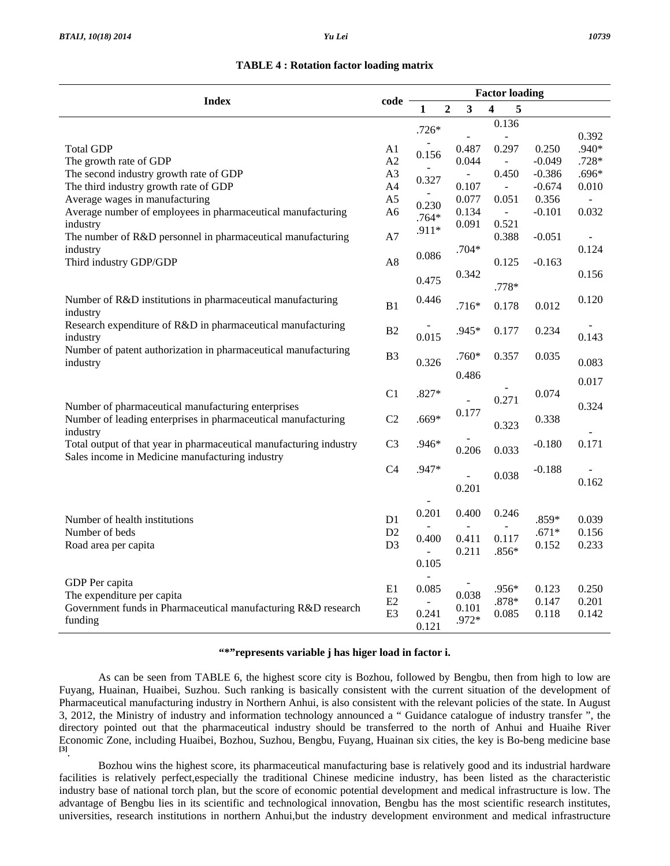## **TABLE 4 : Rotation factor loading matrix**

|                                                                    |                |                | <b>Factor loading</b> |                         |   |                          |          |                |  |
|--------------------------------------------------------------------|----------------|----------------|-----------------------|-------------------------|---|--------------------------|----------|----------------|--|
| <b>Index</b>                                                       | code           | 1              | $\overline{2}$        | $\overline{\mathbf{3}}$ | 4 | 5                        |          |                |  |
|                                                                    |                | $.726*$        |                       |                         |   | 0.136                    |          |                |  |
|                                                                    |                |                |                       |                         |   | $\overline{\phantom{a}}$ |          | 0.392          |  |
| <b>Total GDP</b>                                                   | A1             | 0.156          |                       | 0.487                   |   | 0.297                    | 0.250    | .940*          |  |
| The growth rate of GDP                                             | A2             |                |                       | 0.044                   |   | $\sim$                   | $-0.049$ | $.728*$        |  |
| The second industry growth rate of GDP                             | A <sub>3</sub> | 0.327          |                       | $\Box$                  |   | 0.450                    | $-0.386$ | $.696*$        |  |
| The third industry growth rate of GDP                              | A4             |                |                       | 0.107                   |   | $\equiv$                 | $-0.674$ | 0.010          |  |
| Average wages in manufacturing                                     | A <sub>5</sub> | 0.230          |                       | 0.077                   |   | 0.051                    | 0.356    | $\overline{a}$ |  |
| Average number of employees in pharmaceutical manufacturing        | A <sub>6</sub> | $.764*$        |                       | 0.134                   |   | $\omega_{\rm c}$         | $-0.101$ | 0.032          |  |
| industry                                                           |                | .911*          |                       | 0.091                   |   | 0.521                    |          |                |  |
| The number of R&D personnel in pharmaceutical manufacturing        | A7             |                |                       |                         |   | 0.388                    | $-0.051$ |                |  |
| industry                                                           |                | 0.086          |                       | $.704*$                 |   |                          |          | 0.124          |  |
| Third industry GDP/GDP                                             | A8             |                |                       |                         |   | 0.125                    | $-0.163$ |                |  |
|                                                                    |                | 0.475          |                       | 0.342                   |   |                          |          | 0.156          |  |
|                                                                    |                |                |                       |                         |   | .778*                    |          |                |  |
| Number of R&D institutions in pharmaceutical manufacturing         | B1             | 0.446          |                       | $.716*$                 |   | 0.178                    | 0.012    | 0.120          |  |
| industry                                                           |                |                |                       |                         |   |                          |          |                |  |
| Research expenditure of R&D in pharmaceutical manufacturing        | B2             |                |                       | .945*                   |   | 0.177                    | 0.234    |                |  |
| industry                                                           |                | 0.015          |                       |                         |   |                          |          | 0.143          |  |
| Number of patent authorization in pharmaceutical manufacturing     | B <sub>3</sub> | 0.326          |                       | $.760*$                 |   | 0.357                    | 0.035    |                |  |
| industry                                                           |                |                |                       |                         |   |                          |          | 0.083          |  |
|                                                                    |                |                |                       | 0.486                   |   |                          |          | 0.017          |  |
|                                                                    | C1             | $.827*$        |                       |                         |   |                          | 0.074    |                |  |
| Number of pharmaceutical manufacturing enterprises                 |                |                |                       |                         |   | 0.271                    |          | 0.324          |  |
| Number of leading enterprises in pharmaceutical manufacturing      | C2             | $.669*$        |                       | 0.177                   |   |                          | 0.338    |                |  |
| industry                                                           |                |                |                       |                         |   | 0.323                    |          |                |  |
| Total output of that year in pharmaceutical manufacturing industry | C <sub>3</sub> | .946*          |                       |                         |   |                          | $-0.180$ | 0.171          |  |
| Sales income in Medicine manufacturing industry                    |                |                |                       | 0.206                   |   | 0.033                    |          |                |  |
|                                                                    | C <sub>4</sub> | .947*          |                       |                         |   |                          | $-0.188$ |                |  |
|                                                                    |                |                |                       | ÷,                      |   | 0.038                    |          | 0.162          |  |
|                                                                    |                |                |                       | 0.201                   |   |                          |          |                |  |
|                                                                    |                |                |                       |                         |   |                          |          |                |  |
| Number of health institutions                                      | D1             | 0.201          |                       | 0.400                   |   | 0.246                    | .859*    | 0.039          |  |
| Number of beds                                                     | D2             |                |                       |                         |   |                          | $.671*$  | 0.156          |  |
| Road area per capita                                               | D <sub>3</sub> | 0.400          |                       | 0.411                   |   | 0.117                    | 0.152    | 0.233          |  |
|                                                                    |                | $\overline{a}$ |                       | 0.211                   |   | $.856*$                  |          |                |  |
|                                                                    |                | 0.105          |                       |                         |   |                          |          |                |  |
| GDP Per capita                                                     |                |                |                       |                         |   |                          |          |                |  |
| The expenditure per capita                                         | E1             | 0.085          |                       | 0.038                   |   | .956*                    | 0.123    | 0.250          |  |
| Government funds in Pharmaceutical manufacturing R&D research      | E2             |                |                       | 0.101                   |   | .878*                    | 0.147    | 0.201          |  |
| funding                                                            | E <sub>3</sub> | 0.241          |                       | .972*                   |   | 0.085                    | 0.118    | 0.142          |  |
|                                                                    |                | 0.121          |                       |                         |   |                          |          |                |  |

## **"\*"represents variable j has higer load in factor i.**

 As can be seen from TABLE 6, the highest score city is Bozhou, followed by Bengbu, then from high to low are Fuyang, Huainan, Huaibei, Suzhou. Such ranking is basically consistent with the current situation of the development of Pharmaceutical manufacturing industry in Northern Anhui, is also consistent with the relevant policies of the state. In August 3, 2012, the Ministry of industry and information technology announced a " Guidance catalogue of industry transfer ", the directory pointed out that the pharmaceutical industry should be transferred to the north of Anhui and Huaihe River Economic Zone, including Huaibei, Bozhou, Suzhou, Bengbu, Fuyang, Huainan six cities, the key is Bo-beng medicine base **[3]**.

 Bozhou wins the highest score, its pharmaceutical manufacturing base is relatively good and its industrial hardware facilities is relatively perfect,especially the traditional Chinese medicine industry, has been listed as the characteristic industry base of national torch plan, but the score of economic potential development and medical infrastructure is low. The advantage of Bengbu lies in its scientific and technological innovation, Bengbu has the most scientific research institutes, universities, research institutions in northern Anhui,but the industry development environment and medical infrastructure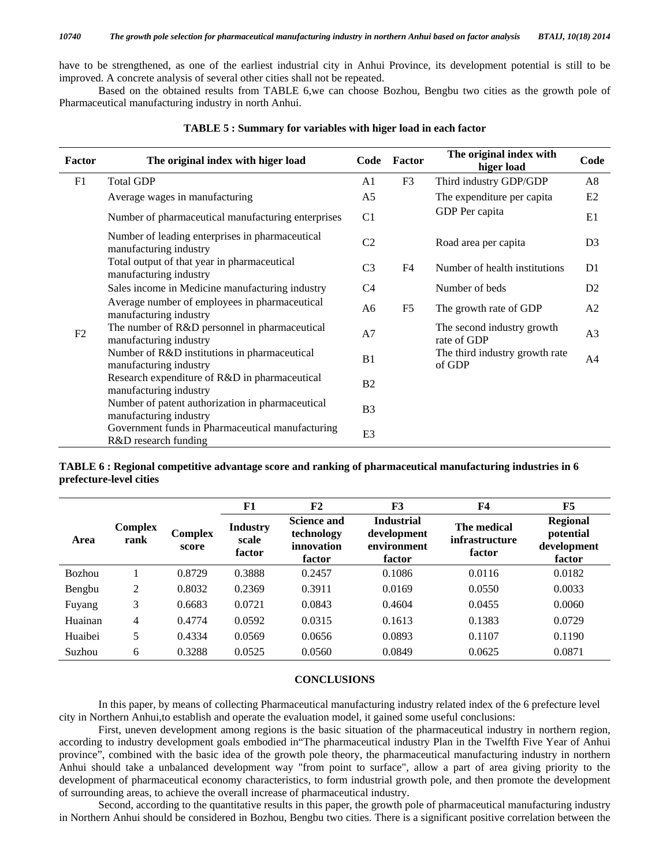have to be strengthened, as one of the earliest industrial city in Anhui Province, its development potential is still to be improved. A concrete analysis of several other cities shall not be repeated.

 Based on the obtained results from TABLE 6,we can choose Bozhou, Bengbu two cities as the growth pole of Pharmaceutical manufacturing industry in north Anhui.

| <b>Factor</b> | The original index with higer load                                                                                                                |                | Factor         | The original index with<br>higer load     | Code           |
|---------------|---------------------------------------------------------------------------------------------------------------------------------------------------|----------------|----------------|-------------------------------------------|----------------|
| F1            | <b>Total GDP</b>                                                                                                                                  | A1             | F3             | Third industry GDP/GDP                    | A8             |
|               | Average wages in manufacturing                                                                                                                    | A <sub>5</sub> |                | The expenditure per capita                | E2             |
|               | Number of pharmaceutical manufacturing enterprises                                                                                                | C1             |                | GDP Per capita                            | E1             |
|               | Number of leading enterprises in pharmaceutical<br>manufacturing industry                                                                         | C <sub>2</sub> |                | Road area per capita                      | D <sub>3</sub> |
| F2            | Total output of that year in pharmaceutical<br>manufacturing industry<br>Sales income in Medicine manufacturing industry                          |                | F <sub>4</sub> | Number of health institutions             | D1             |
|               |                                                                                                                                                   |                |                | Number of beds                            | D2             |
|               | Average number of employees in pharmaceutical<br>manufacturing industry                                                                           | A <sub>6</sub> | F <sub>5</sub> | The growth rate of GDP                    | A2             |
|               | The number of R&D personnel in pharmaceutical<br>manufacturing industry<br>Number of R&D institutions in pharmaceutical<br>manufacturing industry |                |                | The second industry growth<br>rate of GDP | A <sub>3</sub> |
|               |                                                                                                                                                   |                |                | The third industry growth rate<br>of GDP  | A4             |
|               | Research expenditure of R&D in pharmaceutical<br>manufacturing industry                                                                           | B <sub>2</sub> |                |                                           |                |
|               | Number of patent authorization in pharmaceutical<br>manufacturing industry                                                                        |                |                |                                           |                |
|               | Government funds in Pharmaceutical manufacturing<br>R&D research funding                                                                          | E <sub>3</sub> |                |                                           |                |

**TABLE 5 : Summary for variables with higer load in each factor** 

**TABLE 6 : Regional competitive advantage score and ranking of pharmaceutical manufacturing industries in 6 prefecture-level cities** 

|               |                        |                  | F1                                 | F2                                                       | F3                                                        | <b>F4</b>                               | F5                                                    |
|---------------|------------------------|------------------|------------------------------------|----------------------------------------------------------|-----------------------------------------------------------|-----------------------------------------|-------------------------------------------------------|
| Area          | <b>Complex</b><br>rank | Complex<br>score | <b>Industry</b><br>scale<br>factor | <b>Science and</b><br>technology<br>innovation<br>factor | <b>Industrial</b><br>development<br>environment<br>factor | The medical<br>infrastructure<br>factor | <b>Regional</b><br>potential<br>development<br>factor |
| <b>Bozhou</b> |                        | 0.8729           | 0.3888                             | 0.2457                                                   | 0.1086                                                    | 0.0116                                  | 0.0182                                                |
| Bengbu        | 2                      | 0.8032           | 0.2369                             | 0.3911                                                   | 0.0169                                                    | 0.0550                                  | 0.0033                                                |
| Fuyang        | 3                      | 0.6683           | 0.0721                             | 0.0843                                                   | 0.4604                                                    | 0.0455                                  | 0.0060                                                |
| Huainan       | 4                      | 0.4774           | 0.0592                             | 0.0315                                                   | 0.1613                                                    | 0.1383                                  | 0.0729                                                |
| Huaibei       | 5                      | 0.4334           | 0.0569                             | 0.0656                                                   | 0.0893                                                    | 0.1107                                  | 0.1190                                                |
| Suzhou        | 6                      | 0.3288           | 0.0525                             | 0.0560                                                   | 0.0849                                                    | 0.0625                                  | 0.0871                                                |

## **CONCLUSIONS**

 In this paper, by means of collecting Pharmaceutical manufacturing industry related index of the 6 prefecture level city in Northern Anhui,to establish and operate the evaluation model, it gained some useful conclusions:

 First, uneven development among regions is the basic situation of the pharmaceutical industry in northern region, according to industry development goals embodied in"The pharmaceutical industry Plan in the Twelfth Five Year of Anhui province", combined with the basic idea of the growth pole theory, the pharmaceutical manufacturing industry in northern Anhui should take a unbalanced development way "from point to surface", allow a part of area giving priority to the development of pharmaceutical economy characteristics, to form industrial growth pole, and then promote the development of surrounding areas, to achieve the overall increase of pharmaceutical industry.

 Second, according to the quantitative results in this paper, the growth pole of pharmaceutical manufacturing industry in Northern Anhui should be considered in Bozhou, Bengbu two cities. There is a significant positive correlation between the